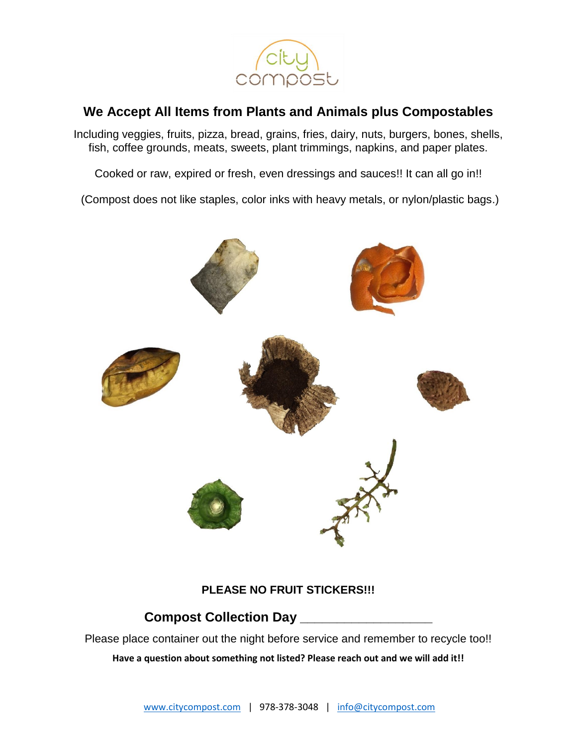

## **We Accept All Items from Plants and Animals plus Compostables**

Including veggies, fruits, pizza, bread, grains, fries, dairy, nuts, burgers, bones, shells, fish, coffee grounds, meats, sweets, plant trimmings, napkins, and paper plates.

Cooked or raw, expired or fresh, even dressings and sauces!! It can all go in!!

(Compost does not like staples, color inks with heavy metals, or nylon/plastic bags.)



## **PLEASE NO FRUIT STICKERS!!!**

## **Compost Collection Day \_\_\_\_\_\_\_\_\_\_\_\_\_\_\_\_\_\_**

Please place container out the night before service and remember to recycle too!! **Have a question about something not listed? Please reach out and we will add it!!**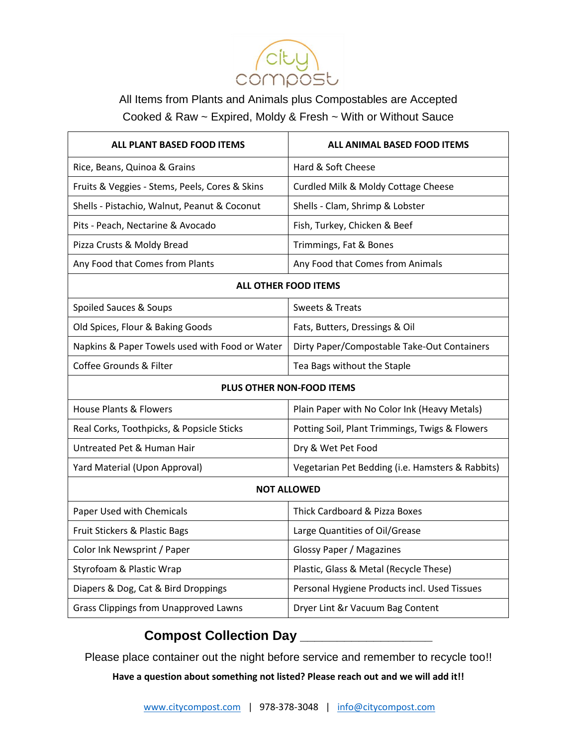

All Items from Plants and Animals plus Compostables are Accepted Cooked & Raw ~ Expired, Moldy & Fresh ~ With or Without Sauce

| <b>ALL PLANT BASED FOOD ITEMS</b>              | <b>ALL ANIMAL BASED FOOD ITEMS</b>               |
|------------------------------------------------|--------------------------------------------------|
| Rice, Beans, Quinoa & Grains                   | Hard & Soft Cheese                               |
| Fruits & Veggies - Stems, Peels, Cores & Skins | Curdled Milk & Moldy Cottage Cheese              |
| Shells - Pistachio, Walnut, Peanut & Coconut   | Shells - Clam, Shrimp & Lobster                  |
| Pits - Peach, Nectarine & Avocado              | Fish, Turkey, Chicken & Beef                     |
| Pizza Crusts & Moldy Bread                     | Trimmings, Fat & Bones                           |
| Any Food that Comes from Plants                | Any Food that Comes from Animals                 |
| <b>ALL OTHER FOOD ITEMS</b>                    |                                                  |
| Spoiled Sauces & Soups                         | Sweets & Treats                                  |
| Old Spices, Flour & Baking Goods               | Fats, Butters, Dressings & Oil                   |
| Napkins & Paper Towels used with Food or Water | Dirty Paper/Compostable Take-Out Containers      |
| Coffee Grounds & Filter                        | Tea Bags without the Staple                      |
| PLUS OTHER NON-FOOD ITEMS                      |                                                  |
| <b>House Plants &amp; Flowers</b>              | Plain Paper with No Color Ink (Heavy Metals)     |
| Real Corks, Toothpicks, & Popsicle Sticks      | Potting Soil, Plant Trimmings, Twigs & Flowers   |
| Untreated Pet & Human Hair                     | Dry & Wet Pet Food                               |
| Yard Material (Upon Approval)                  | Vegetarian Pet Bedding (i.e. Hamsters & Rabbits) |
| <b>NOT ALLOWED</b>                             |                                                  |
| Paper Used with Chemicals                      | Thick Cardboard & Pizza Boxes                    |
| Fruit Stickers & Plastic Bags                  | Large Quantities of Oil/Grease                   |
| Color Ink Newsprint / Paper                    | <b>Glossy Paper / Magazines</b>                  |
| Styrofoam & Plastic Wrap                       | Plastic, Glass & Metal (Recycle These)           |
| Diapers & Dog, Cat & Bird Droppings            | Personal Hygiene Products incl. Used Tissues     |
| <b>Grass Clippings from Unapproved Lawns</b>   | Dryer Lint &r Vacuum Bag Content                 |

## **Compost Collection Day \_\_\_\_\_\_\_\_\_\_\_\_\_\_\_\_\_\_**

Please place container out the night before service and remember to recycle too!!

**Have a question about something not listed? Please reach out and we will add it!!**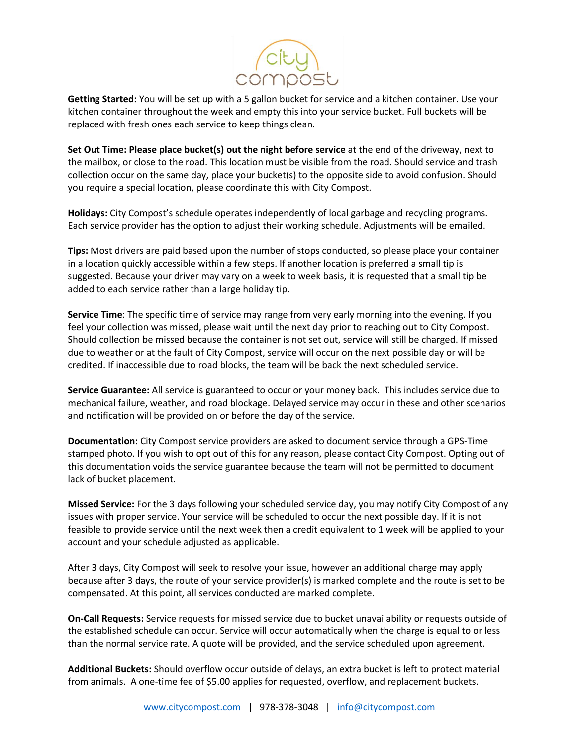

**Getting Started:** You will be set up with a 5 gallon bucket for service and a kitchen container. Use your kitchen container throughout the week and empty this into your service bucket. Full buckets will be replaced with fresh ones each service to keep things clean.

**Set Out Time: Please place bucket(s) out the night before service** at the end of the driveway, next to the mailbox, or close to the road. This location must be visible from the road. Should service and trash collection occur on the same day, place your bucket(s) to the opposite side to avoid confusion. Should you require a special location, please coordinate this with City Compost.

**Holidays:** City Compost's schedule operates independently of local garbage and recycling programs. Each service provider has the option to adjust their working schedule. Adjustments will be emailed.

**Tips:** Most drivers are paid based upon the number of stops conducted, so please place your container in a location quickly accessible within a few steps. If another location is preferred a small tip is suggested. Because your driver may vary on a week to week basis, it is requested that a small tip be added to each service rather than a large holiday tip.

**Service Time**: The specific time of service may range from very early morning into the evening. If you feel your collection was missed, please wait until the next day prior to reaching out to City Compost. Should collection be missed because the container is not set out, service will still be charged. If missed due to weather or at the fault of City Compost, service will occur on the next possible day or will be credited. If inaccessible due to road blocks, the team will be back the next scheduled service.

**Service Guarantee:** All service is guaranteed to occur or your money back. This includes service due to mechanical failure, weather, and road blockage. Delayed service may occur in these and other scenarios and notification will be provided on or before the day of the service.

**Documentation:** City Compost service providers are asked to document service through a GPS-Time stamped photo. If you wish to opt out of this for any reason, please contact City Compost. Opting out of this documentation voids the service guarantee because the team will not be permitted to document lack of bucket placement.

**Missed Service:** For the 3 days following your scheduled service day, you may notify City Compost of any issues with proper service. Your service will be scheduled to occur the next possible day. If it is not feasible to provide service until the next week then a credit equivalent to 1 week will be applied to your account and your schedule adjusted as applicable.

After 3 days, City Compost will seek to resolve your issue, however an additional charge may apply because after 3 days, the route of your service provider(s) is marked complete and the route is set to be compensated. At this point, all services conducted are marked complete.

**On-Call Requests:** Service requests for missed service due to bucket unavailability or requests outside of the established schedule can occur. Service will occur automatically when the charge is equal to or less than the normal service rate. A quote will be provided, and the service scheduled upon agreement.

**Additional Buckets:** Should overflow occur outside of delays, an extra bucket is left to protect material from animals. A one-time fee of \$5.00 applies for requested, overflow, and replacement buckets.